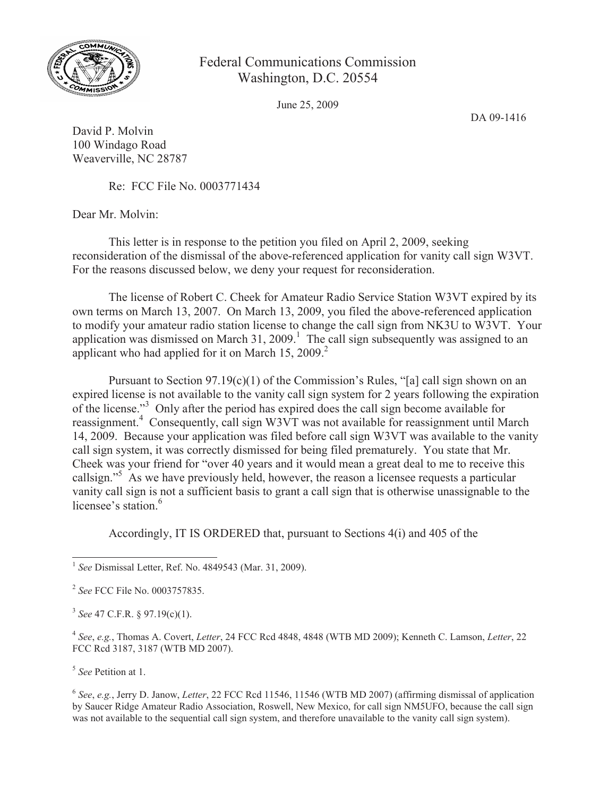

## Federal Communications Commission Washington, D.C. 20554

June 25, 2009

DA 09-1416

David P. Molvin 100 Windago Road Weaverville, NC 28787

Re: FCC File No. 0003771434

Dear Mr. Molvin:

This letter is in response to the petition you filed on April 2, 2009, seeking reconsideration of the dismissal of the above-referenced application for vanity call sign W3VT. For the reasons discussed below, we deny your request for reconsideration.

The license of Robert C. Cheek for Amateur Radio Service Station W3VT expired by its own terms on March 13, 2007. On March 13, 2009, you filed the above-referenced application to modify your amateur radio station license to change the call sign from NK3U to W3VT. Your application was dismissed on March  $31, 2009$ .<sup>1</sup> The call sign subsequently was assigned to an applicant who had applied for it on March  $15, 2009$ .<sup>2</sup>

Pursuant to Section  $97.19(c)(1)$  of the Commission's Rules, "[a] call sign shown on an expired license is not available to the vanity call sign system for 2 years following the expiration of the license."<sup>3</sup> Only after the period has expired does the call sign become available for reassignment.<sup>4</sup> Consequently, call sign W3VT was not available for reassignment until March 14, 2009. Because your application was filed before call sign W3VT was available to the vanity call sign system, it was correctly dismissed for being filed prematurely. You state that Mr. Cheek was your friend for "over 40 years and it would mean a great deal to me to receive this callsign."<sup>5</sup> As we have previously held, however, the reason a licensee requests a particular vanity call sign is not a sufficient basis to grant a call sign that is otherwise unassignable to the licensee's station $6$ 

Accordingly, IT IS ORDERED that, pursuant to Sections 4(i) and 405 of the

3 *See* 47 C.F.R. § 97.19(c)(1).

4 *See*, *e.g.*, Thomas A. Covert, *Letter*, 24 FCC Rcd 4848, 4848 (WTB MD 2009); Kenneth C. Lamson, *Letter*, 22 FCC Rcd 3187, 3187 (WTB MD 2007).

5 *See* Petition at 1.

6 *See*, *e.g.*, Jerry D. Janow, *Letter*, 22 FCC Rcd 11546, 11546 (WTB MD 2007) (affirming dismissal of application by Saucer Ridge Amateur Radio Association, Roswell, New Mexico, for call sign NM5UFO, because the call sign was not available to the sequential call sign system, and therefore unavailable to the vanity call sign system).

<sup>1</sup> *See* Dismissal Letter, Ref. No. 4849543 (Mar. 31, 2009).

<sup>2</sup> *See* FCC File No. 0003757835.